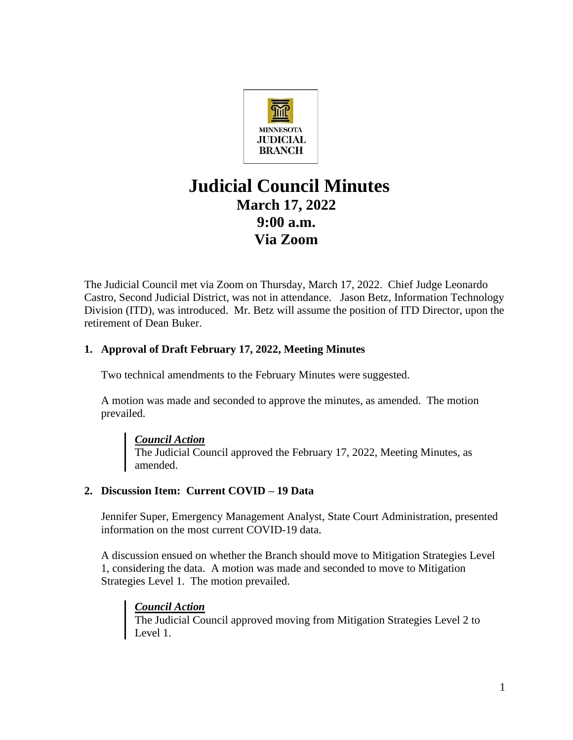

# **Judicial Council Minutes March 17, 2022 9:00 a.m. Via Zoom**

The Judicial Council met via Zoom on Thursday, March 17, 2022. Chief Judge Leonardo Castro, Second Judicial District, was not in attendance. Jason Betz, Information Technology Division (ITD), was introduced. Mr. Betz will assume the position of ITD Director, upon the retirement of Dean Buker.

## **1. Approval of Draft February 17, 2022, Meeting Minutes**

Two technical amendments to the February Minutes were suggested.

A motion was made and seconded to approve the minutes, as amended. The motion prevailed.

## *Council Action*

The Judicial Council approved the February 17, 2022, Meeting Minutes, as amended.

## **2. Discussion Item: Current COVID – 19 Data**

Jennifer Super, Emergency Management Analyst, State Court Administration, presented information on the most current COVID-19 data.

A discussion ensued on whether the Branch should move to Mitigation Strategies Level 1, considering the data. A motion was made and seconded to move to Mitigation Strategies Level 1. The motion prevailed.

## *Council Action*

The Judicial Council approved moving from Mitigation Strategies Level 2 to Level 1.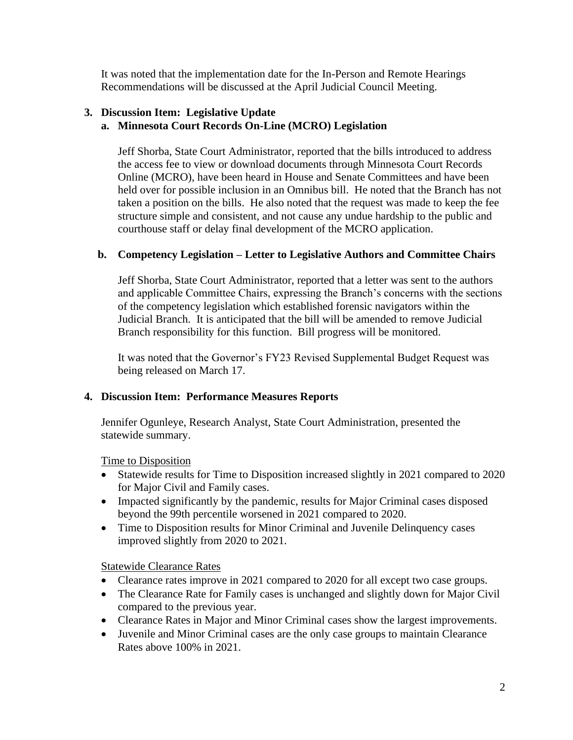It was noted that the implementation date for the In-Person and Remote Hearings Recommendations will be discussed at the April Judicial Council Meeting.

### **3. Discussion Item: Legislative Update**

## **a. Minnesota Court Records On-Line (MCRO) Legislation**

Jeff Shorba, State Court Administrator, reported that the bills introduced to address the access fee to view or download documents through [Minnesota Court Records](https://gcc02.safelinks.protection.outlook.com/?url=https%3A%2F%2Fpublicaccess.courts.state.mn.us%2F&data=04%7C01%7CJanet.Marshall%40courts.state.mn.us%7Cce179b2ee7cc44e84efa08da02c7eedd%7C8cf8312b4c344b6f9deec56512a7510f%7C0%7C0%7C637825355079889024%7CUnknown%7CTWFpbGZsb3d8eyJWIjoiMC4wLjAwMDAiLCJQIjoiV2luMzIiLCJBTiI6Ik1haWwiLCJXVCI6Mn0%3D%7C3000&sdata=rOT4Fr7ru%2B%2BXnl4XZEBdM96R3szHpJHXwZm0rKAuuFQ%3D&reserved=0)  [Online](https://gcc02.safelinks.protection.outlook.com/?url=https%3A%2F%2Fpublicaccess.courts.state.mn.us%2F&data=04%7C01%7CJanet.Marshall%40courts.state.mn.us%7Cce179b2ee7cc44e84efa08da02c7eedd%7C8cf8312b4c344b6f9deec56512a7510f%7C0%7C0%7C637825355079889024%7CUnknown%7CTWFpbGZsb3d8eyJWIjoiMC4wLjAwMDAiLCJQIjoiV2luMzIiLCJBTiI6Ik1haWwiLCJXVCI6Mn0%3D%7C3000&sdata=rOT4Fr7ru%2B%2BXnl4XZEBdM96R3szHpJHXwZm0rKAuuFQ%3D&reserved=0) (MCRO), have been heard in House and Senate Committees and have been held over for possible inclusion in an Omnibus bill. He noted that the Branch has not taken a position on the bills. He also noted that the request was made to keep the fee structure simple and consistent, and not cause any undue hardship to the public and courthouse staff or delay final development of the MCRO application.

#### **b. Competency Legislation – Letter to Legislative Authors and Committee Chairs**

Jeff Shorba, State Court Administrator, reported that a letter was sent to the authors and applicable Committee Chairs, expressing the Branch's concerns with the sections of the competency legislation which established forensic navigators within the Judicial Branch. It is anticipated that the bill will be amended to remove Judicial Branch responsibility for this function. Bill progress will be monitored.

It was noted that the Governor's FY23 Revised Supplemental Budget Request was being released on March 17.

#### **4. Discussion Item: Performance Measures Reports**

Jennifer Ogunleye, Research Analyst, State Court Administration, presented the statewide summary.

Time to Disposition

- Statewide results for Time to Disposition increased slightly in 2021 compared to 2020 for Major Civil and Family cases.
- Impacted significantly by the pandemic, results for Major Criminal cases disposed beyond the 99th percentile worsened in 2021 compared to 2020.
- Time to Disposition results for Minor Criminal and Juvenile Delinquency cases improved slightly from 2020 to 2021.

Statewide Clearance Rates

- Clearance rates improve in 2021 compared to 2020 for all except two case groups.
- The Clearance Rate for Family cases is unchanged and slightly down for Major Civil compared to the previous year.
- Clearance Rates in Major and Minor Criminal cases show the largest improvements.
- Juvenile and Minor Criminal cases are the only case groups to maintain Clearance Rates above 100% in 2021.